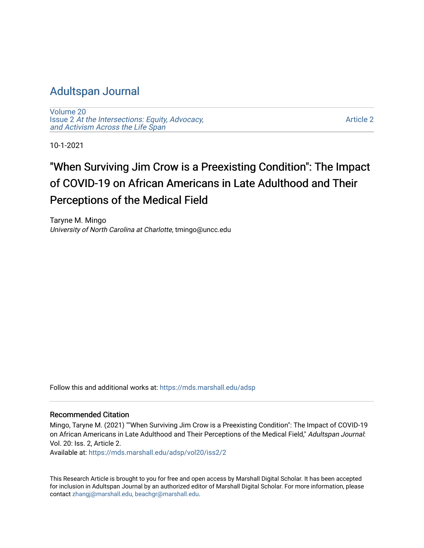## [Adultspan Journal](https://mds.marshall.edu/adsp)

[Volume 20](https://mds.marshall.edu/adsp/vol20) Issue 2 [At the Intersections: Equity, Advocacy,](https://mds.marshall.edu/adsp/vol20/iss2) [and Activism Across the Life Span](https://mds.marshall.edu/adsp/vol20/iss2) 

[Article 2](https://mds.marshall.edu/adsp/vol20/iss2/2) 

10-1-2021

# "When Surviving Jim Crow is a Preexisting Condition": The Impact of COVID-19 on African Americans in Late Adulthood and Their Perceptions of the Medical Field

Taryne M. Mingo University of North Carolina at Charlotte, tmingo@uncc.edu

Follow this and additional works at: [https://mds.marshall.edu/adsp](https://mds.marshall.edu/adsp?utm_source=mds.marshall.edu%2Fadsp%2Fvol20%2Fiss2%2F2&utm_medium=PDF&utm_campaign=PDFCoverPages) 

#### Recommended Citation

Mingo, Taryne M. (2021) ""When Surviving Jim Crow is a Preexisting Condition": The Impact of COVID-19 on African Americans in Late Adulthood and Their Perceptions of the Medical Field," Adultspan Journal: Vol. 20: Iss. 2, Article 2.

Available at: [https://mds.marshall.edu/adsp/vol20/iss2/2](https://mds.marshall.edu/adsp/vol20/iss2/2?utm_source=mds.marshall.edu%2Fadsp%2Fvol20%2Fiss2%2F2&utm_medium=PDF&utm_campaign=PDFCoverPages) 

This Research Article is brought to you for free and open access by Marshall Digital Scholar. It has been accepted for inclusion in Adultspan Journal by an authorized editor of Marshall Digital Scholar. For more information, please contact [zhangj@marshall.edu, beachgr@marshall.edu](mailto:zhangj@marshall.edu,%20beachgr@marshall.edu).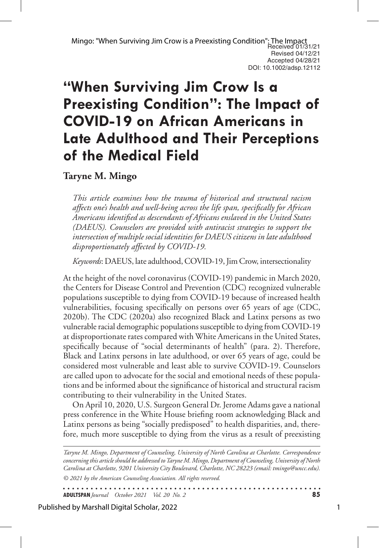# **"When Surviving Jim Crow Is a Preexisting Condition": The Impact of COVID-19 on African Americans in Late Adulthood and Their Perceptions of the Medical Field**

**Taryne M. Mingo**

*This article examines how the trauma of historical and structural racism affects one's health and well-being across the life span, specifically for African Americans identified as descendants of Africans enslaved in the United States (DAEUS). Counselors are provided with antiracist strategies to support the intersection of multiple social identities for DAEUS citizens in late adulthood disproportionately affected by COVID-19.*

*Keywords*: DAEUS, late adulthood, COVID-19, Jim Crow, intersectionality

At the height of the novel coronavirus (COVID-19) pandemic in March 2020, the Centers for Disease Control and Prevention (CDC) recognized vulnerable populations susceptible to dying from COVID-19 because of increased health vulnerabilities, focusing specifically on persons over 65 years of age (CDC, 2020b). The CDC (2020a) also recognized Black and Latinx persons as two vulnerable racial demographic populations susceptible to dying from COVID-19 at disproportionate rates compared with White Americans in the United States, specifically because of "social determinants of health" (para. 2). Therefore, Black and Latinx persons in late adulthood, or over 65 years of age, could be considered most vulnerable and least able to survive COVID-19. Counselors are called upon to advocate for the social and emotional needs of these populations and be informed about the significance of historical and structural racism contributing to their vulnerability in the United States.

On April 10, 2020, U.S. Surgeon General Dr. Jerome Adams gave a national press conference in the White House briefing room acknowledging Black and Latinx persons as being "socially predisposed" to health disparities, and, therefore, much more susceptible to dying from the virus as a result of preexisting

*© 2021 by the American Counseling Association. All rights reserved. Taryne M. Mingo, Department of Counseling, University of North Carolina at Charlotte. Correspondence concerning this article should be addressed to Taryne M. Mingo, Department of Counseling, University of North Carolina at Charlotte, 9201 University City Boulevard, Charlotte, NC 28223 (email: tmingo@uncc.edu).* 

. . . . . . . . . . . . . . . . . . . **ADULTSPAN***Journal October 2021 Vol. 20 No. 2* **85**

Published by Marshall Digital Scholar, 2022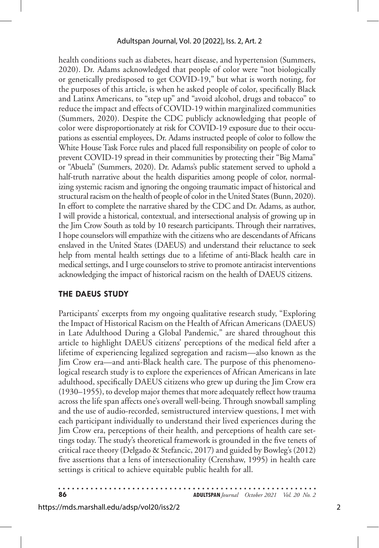health conditions such as diabetes, heart disease, and hypertension (Summers, 2020). Dr. Adams acknowledged that people of color were "not biologically or genetically predisposed to get COVID-19," but what is worth noting, for the purposes of this article, is when he asked people of color, specifically Black and Latinx Americans, to "step up" and "avoid alcohol, drugs and tobacco" to reduce the impact and effects of COVID-19 within marginalized communities (Summers, 2020). Despite the CDC publicly acknowledging that people of color were disproportionately at risk for COVID-19 exposure due to their occupations as essential employees, Dr. Adams instructed people of color to follow the White House Task Force rules and placed full responsibility on people of color to prevent COVID-19 spread in their communities by protecting their "Big Mama" or "Abuela" (Summers, 2020). Dr. Adams's public statement served to uphold a half-truth narrative about the health disparities among people of color, normalizing systemic racism and ignoring the ongoing traumatic impact of historical and structural racism on the health of people of color in the United States (Bunn, 2020). In effort to complete the narrative shared by the CDC and Dr. Adams, as author, I will provide a historical, contextual, and intersectional analysis of growing up in the Jim Crow South as told by 10 research participants. Through their narratives, I hope counselors will empathize with the citizens who are descendants of Africans enslaved in the United States (DAEUS) and understand their reluctance to seek help from mental health settings due to a lifetime of anti-Black health care in medical settings, and I urge counselors to strive to promote antiracist interventions acknowledging the impact of historical racism on the health of DAEUS citizens.

## **THE DAEUS STUDY**

Participants' excerpts from my ongoing qualitative research study, "Exploring the Impact of Historical Racism on the Health of African Americans (DAEUS) in Late Adulthood During a Global Pandemic," are shared throughout this article to highlight DAEUS citizens' perceptions of the medical field after a lifetime of experiencing legalized segregation and racism—also known as the Jim Crow era—and anti-Black health care. The purpose of this phenomenological research study is to explore the experiences of African Americans in late adulthood, specifically DAEUS citizens who grew up during the Jim Crow era (1930–1955), to develop major themes that more adequately reflect how trauma across the life span affects one's overall well-being. Through snowball sampling and the use of audio-recorded, semistructured interview questions, I met with each participant individually to understand their lived experiences during the Jim Crow era, perceptions of their health, and perceptions of health care settings today. The study's theoretical framework is grounded in the five tenets of critical race theory (Delgado & Stefancic, 2017) and guided by Bowleg's (2012) five assertions that a lens of intersectionality (Crenshaw, 1995) in health care settings is critical to achieve equitable public health for all.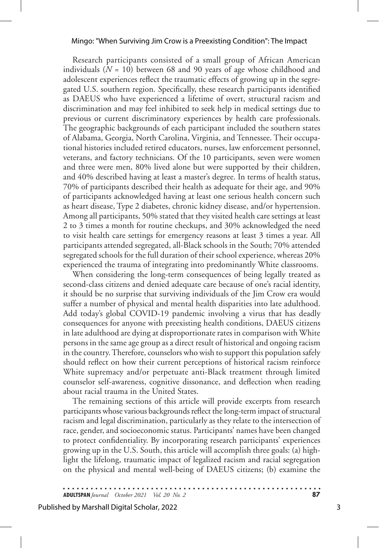#### Mingo: "When Surviving Jim Crow is a Preexisting Condition": The Impact

Research participants consisted of a small group of African American individuals  $(N = 10)$  between 68 and 90 years of age whose childhood and adolescent experiences reflect the traumatic effects of growing up in the segregated U.S. southern region. Specifically, these research participants identified as DAEUS who have experienced a lifetime of overt, structural racism and discrimination and may feel inhibited to seek help in medical settings due to previous or current discriminatory experiences by health care professionals. The geographic backgrounds of each participant included the southern states of Alabama, Georgia, North Carolina, Virginia, and Tennessee. Their occupational histories included retired educators, nurses, law enforcement personnel, veterans, and factory technicians. Of the 10 participants, seven were women and three were men, 80% lived alone but were supported by their children, and 40% described having at least a master's degree. In terms of health status, 70% of participants described their health as adequate for their age, and 90% of participants acknowledged having at least one serious health concern such as heart disease, Type 2 diabetes, chronic kidney disease, and/or hypertension. Among all participants, 50% stated that they visited health care settings at least 2 to 3 times a month for routine checkups, and 30% acknowledged the need to visit health care settings for emergency reasons at least 3 times a year. All participants attended segregated, all-Black schools in the South; 70% attended segregated schools for the full duration of their school experience, whereas 20% experienced the trauma of integrating into predominantly White classrooms.

When considering the long-term consequences of being legally treated as second-class citizens and denied adequate care because of one's racial identity, it should be no surprise that surviving individuals of the Jim Crow era would suffer a number of physical and mental health disparities into late adulthood. Add today's global COVID-19 pandemic involving a virus that has deadly consequences for anyone with preexisting health conditions, DAEUS citizens in late adulthood are dying at disproportionate rates in comparison with White persons in the same age group as a direct result of historical and ongoing racism in the country. Therefore, counselors who wish to support this population safely should reflect on how their current perceptions of historical racism reinforce White supremacy and/or perpetuate anti-Black treatment through limited counselor self-awareness, cognitive dissonance, and deflection when reading about racial trauma in the United States.

The remaining sections of this article will provide excerpts from research participants whose various backgrounds reflect the long-term impact of structural racism and legal discrimination, particularly as they relate to the intersection of race, gender, and socioeconomic status. Participants' names have been changed to protect confidentiality. By incorporating research participants' experiences growing up in the U.S. South, this article will accomplish three goals: (a) highlight the lifelong, traumatic impact of legalized racism and racial segregation on the physical and mental well-being of DAEUS citizens; (b) examine the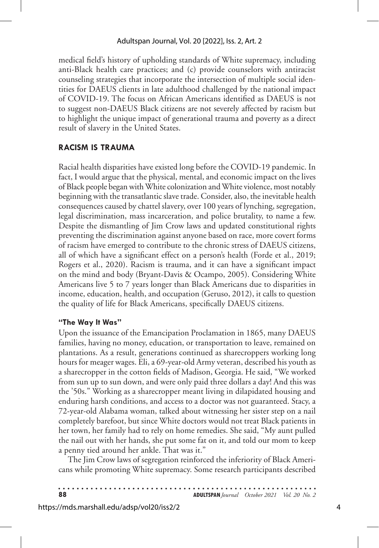medical field's history of upholding standards of White supremacy, including anti-Black health care practices; and (c) provide counselors with antiracist counseling strategies that incorporate the intersection of multiple social identities for DAEUS clients in late adulthood challenged by the national impact of COVID-19. The focus on African Americans identified as DAEUS is not to suggest non-DAEUS Black citizens are not severely affected by racism but to highlight the unique impact of generational trauma and poverty as a direct result of slavery in the United States.

## **RACISM IS TRAUMA**

Racial health disparities have existed long before the COVID-19 pandemic. In fact, I would argue that the physical, mental, and economic impact on the lives of Black people began with White colonization and White violence, most notably beginning with the transatlantic slave trade. Consider, also, the inevitable health consequences caused by chattel slavery, over 100 years of lynching, segregation, legal discrimination, mass incarceration, and police brutality, to name a few. Despite the dismantling of Jim Crow laws and updated constitutional rights preventing the discrimination against anyone based on race, more covert forms of racism have emerged to contribute to the chronic stress of DAEUS citizens, all of which have a significant effect on a person's health (Forde et al., 2019; Rogers et al., 2020). Racism is trauma, and it can have a significant impact on the mind and body (Bryant-Davis & Ocampo, 2005). Considering White Americans live 5 to 7 years longer than Black Americans due to disparities in income, education, health, and occupation (Geruso, 2012), it calls to question the quality of life for Black Americans, specifically DAEUS citizens.

## **"The Way It Was"**

Upon the issuance of the Emancipation Proclamation in 1865, many DAEUS families, having no money, education, or transportation to leave, remained on plantations. As a result, generations continued as sharecroppers working long hours for meager wages. Eli, a 69-year-old Army veteran, described his youth as a sharecropper in the cotton fields of Madison, Georgia. He said, "We worked from sun up to sun down, and were only paid three dollars a day! And this was the '50s." Working as a sharecropper meant living in dilapidated housing and enduring harsh conditions, and access to a doctor was not guaranteed. Stacy, a 72-year-old Alabama woman, talked about witnessing her sister step on a nail completely barefoot, but since White doctors would not treat Black patients in her town, her family had to rely on home remedies. She said, "My aunt pulled the nail out with her hands, she put some fat on it, and told our mom to keep a penny tied around her ankle. That was it."

The Jim Crow laws of segregation reinforced the inferiority of Black Americans while promoting White supremacy. Some research participants described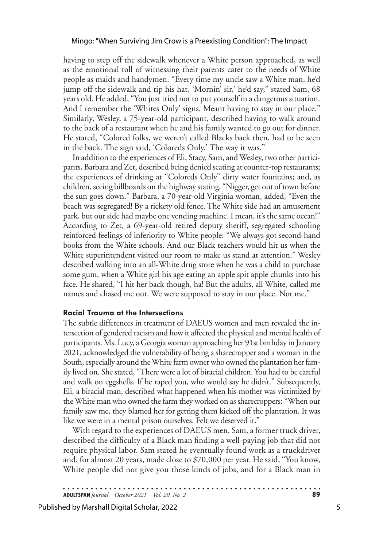having to step off the sidewalk whenever a White person approached, as well as the emotional toll of witnessing their parents cater to the needs of White people as maids and handymen. "Every time my uncle saw a White man, he'd jump off the sidewalk and tip his hat, 'Mornin' sir,' he'd say," stated Sam, 68 years old. He added, "You just tried not to put yourself in a dangerous situation. And I remember the 'Whites Only' signs. Meant having to stay in our place." Similarly, Wesley, a 75-year-old participant, described having to walk around to the back of a restaurant when he and his family wanted to go out for dinner. He stated, "Colored folks, we weren't called Blacks back then, had to be seen in the back. The sign said, 'Coloreds Only.' The way it was."

In addition to the experiences of Eli, Stacy, Sam, and Wesley, two other participants, Barbara and Zet, described being denied seating at counter-top restaurants; the experiences of drinking at "Coloreds Only" dirty water fountains; and, as children, seeing billboards on the highway stating, "Nigger, get out of town before the sun goes down." Barbara, a 70-year-old Virginia woman, added, "Even the beach was segregated! By a rickety old fence. The White side had an amusement park, but our side had maybe one vending machine. I mean, it's the same ocean!" According to Zet, a 69-year-old retired deputy sheriff, segregated schooling reinforced feelings of inferiority to White people: "We always got second-hand books from the White schools. And our Black teachers would hit us when the White superintendent visited our room to make us stand at attention." Wesley described walking into an all-White drug store when he was a child to purchase some gum, when a White girl his age eating an apple spit apple chunks into his face. He shared, "I hit her back though, ha! But the adults, all White, called me names and chased me out. We were supposed to stay in our place. Not me."

## **Racial Trauma at the Intersections**

The subtle differences in treatment of DAEUS women and men revealed the intersection of gendered racism and how it affected the physical and mental health of participants. Ms. Lucy, a Georgia woman approaching her 91st birthday in January 2021, acknowledged the vulnerability of being a sharecropper and a woman in the South, especially around the White farm owner who owned the plantation her family lived on. She stated, "There were a lot of biracial children. You had to be careful and walk on eggshells. If he raped you, who would say he didn't." Subsequently, Eli, a biracial man, described what happened when his mother was victimized by the White man who owned the farm they worked on as sharecroppers: "When our family saw me, they blamed her for getting them kicked off the plantation. It was like we were in a mental prison ourselves. Felt we deserved it."

With regard to the experiences of DAEUS men, Sam, a former truck driver, described the difficulty of a Black man finding a well-paying job that did not require physical labor. Sam stated he eventually found work as a truckdriver and, for almost 20 years, made close to \$70,000 per year. He said, "You know, White people did not give you those kinds of jobs, and for a Black man in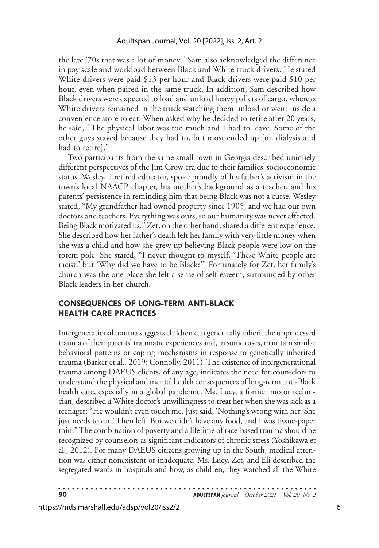the late '70s that was a lot of money." Sam also acknowledged the difference in pay scale and workload between Black and White truck drivers. He stated White drivers were paid \$13 per hour and Black drivers were paid \$10 per hour, even when paired in the same truck. In addition, Sam described how Black drivers were expected to load and unload heavy pallets of cargo, whereas White drivers remained in the truck watching them unload or went inside a convenience store to eat. When asked why he decided to retire after 20 years, he said, "The physical labor was too much and I had to leave. Some of the other guys stayed because they had to, but most ended up [on dialysis and had to retire]."

Two participants from the same small town in Georgia described uniquely different perspectives of the Jim Crow era due to their families' socioeconomic status. Wesley, a retired educator, spoke proudly of his father's activism in the town's local NAACP chapter, his mother's background as a teacher, and his parents' persistence in reminding him that being Black was not a curse. Wesley stated, "My grandfather had owned property since 1905, and we had our own doctors and teachers. Everything was ours, so our humanity was never affected. Being Black motivated us." Zet, on the other hand, shared a different experience. She described how her father's death left her family with very little money when she was a child and how she grew up believing Black people were low on the totem pole. She stated, "I never thought to myself, 'These White people are racist,' but 'Why did we have to be Black?'" Fortunately for Zet, her family's church was the one place she felt a sense of self-esteem, surrounded by other Black leaders in her church.

## **CONSEQUENCES OF LONG-TERM ANTI-BLACK HEALTH CARE PRACTICES**

Intergenerational trauma suggests children can genetically inherit the unprocessed trauma of their parents' traumatic experiences and, in some cases, maintain similar behavioral patterns or coping mechanisms in response to genetically inherited trauma (Barker et al., 2019; Connolly, 2011). The existence of intergenerational trauma among DAEUS clients, of any age, indicates the need for counselors to understand the physical and mental health consequences of long-term anti-Black health care, especially in a global pandemic. Ms. Lucy, a former motor technician, described a White doctor's unwillingness to treat her when she was sick as a teenager: "He wouldn't even touch me. Just said, 'Nothing's wrong with her. She just needs to eat.' Then left. But we didn't have any food, and I was tissue-paper thin." The combination of poverty and a lifetime of race-based trauma should be recognized by counselors as significant indicators of chronic stress (Yoshikawa et al., 2012). For many DAEUS citizens growing up in the South, medical attention was either nonexistent or inadequate. Ms. Lucy, Zet, and Eli described the segregated wards in hospitals and how, as children, they watched all the White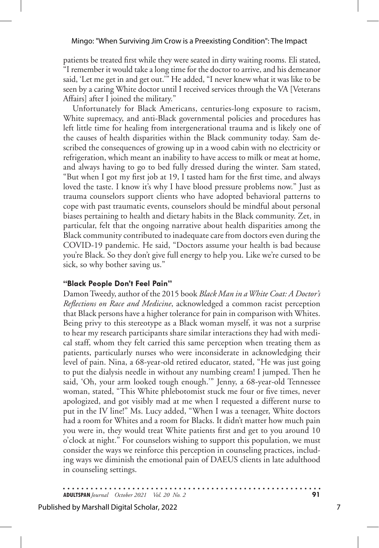#### Mingo: "When Surviving Jim Crow is a Preexisting Condition": The Impact

patients be treated first while they were seated in dirty waiting rooms. Eli stated, "I remember it would take a long time for the doctor to arrive, and his demeanor said, 'Let me get in and get out.'" He added, "I never knew what it was like to be seen by a caring White doctor until I received services through the VA [Veterans Affairs] after I joined the military."

Unfortunately for Black Americans, centuries-long exposure to racism, White supremacy, and anti-Black governmental policies and procedures has left little time for healing from intergenerational trauma and is likely one of the causes of health disparities within the Black community today. Sam described the consequences of growing up in a wood cabin with no electricity or refrigeration, which meant an inability to have access to milk or meat at home, and always having to go to bed fully dressed during the winter. Sam stated, "But when I got my first job at 19, I tasted ham for the first time, and always loved the taste. I know it's why I have blood pressure problems now." Just as trauma counselors support clients who have adopted behavioral patterns to cope with past traumatic events, counselors should be mindful about personal biases pertaining to health and dietary habits in the Black community. Zet, in particular, felt that the ongoing narrative about health disparities among the Black community contributed to inadequate care from doctors even during the COVID-19 pandemic. He said, "Doctors assume your health is bad because you're Black. So they don't give full energy to help you. Like we're cursed to be sick, so why bother saving us."

#### **"Black People Don't Feel Pain"**

Damon Tweedy, author of the 2015 book *Black Man in a White Coat: A Doctor's Reflections on Race and Medicine*, acknowledged a common racist perception that Black persons have a higher tolerance for pain in comparison with Whites. Being privy to this stereotype as a Black woman myself, it was not a surprise to hear my research participants share similar interactions they had with medical staff, whom they felt carried this same perception when treating them as patients, particularly nurses who were inconsiderate in acknowledging their level of pain. Nina, a 68-year-old retired educator, stated, "He was just going to put the dialysis needle in without any numbing cream! I jumped. Then he said, 'Oh, your arm looked tough enough.'" Jenny, a 68-year-old Tennessee woman, stated, "This White phlebotomist stuck me four or five times, never apologized, and got visibly mad at me when I requested a different nurse to put in the IV line!" Ms. Lucy added, "When I was a teenager, White doctors had a room for Whites and a room for Blacks. It didn't matter how much pain you were in, they would treat White patients first and get to you around 10 o'clock at night." For counselors wishing to support this population, we must consider the ways we reinforce this perception in counseling practices, including ways we diminish the emotional pain of DAEUS clients in late adulthood in counseling settings.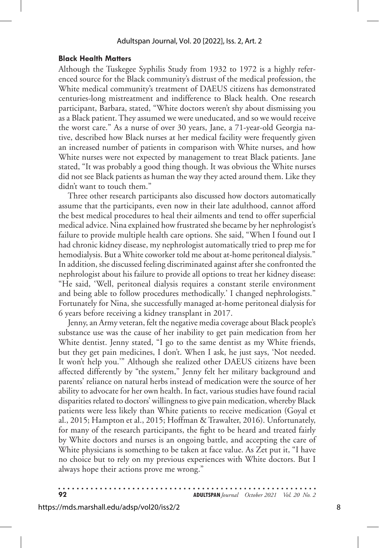#### **Black Health Matters**

Although the Tuskegee Syphilis Study from 1932 to 1972 is a highly referenced source for the Black community's distrust of the medical profession, the White medical community's treatment of DAEUS citizens has demonstrated centuries-long mistreatment and indifference to Black health. One research participant, Barbara, stated, "White doctors weren't shy about dismissing you as a Black patient. They assumed we were uneducated, and so we would receive the worst care." As a nurse of over 30 years, Jane, a 71-year-old Georgia native, described how Black nurses at her medical facility were frequently given an increased number of patients in comparison with White nurses, and how White nurses were not expected by management to treat Black patients. Jane stated, "It was probably a good thing though. It was obvious the White nurses did not see Black patients as human the way they acted around them. Like they didn't want to touch them."

Three other research participants also discussed how doctors automatically assume that the participants, even now in their late adulthood, cannot afford the best medical procedures to heal their ailments and tend to offer superficial medical advice. Nina explained how frustrated she became by her nephrologist's failure to provide multiple health care options. She said, "When I found out I had chronic kidney disease, my nephrologist automatically tried to prep me for hemodialysis. But a White coworker told me about at-home peritoneal dialysis." In addition, she discussed feeling discriminated against after she confronted the nephrologist about his failure to provide all options to treat her kidney disease: "He said, 'Well, peritoneal dialysis requires a constant sterile environment and being able to follow procedures methodically.' I changed nephrologists." Fortunately for Nina, she successfully managed at-home peritoneal dialysis for 6 years before receiving a kidney transplant in 2017.

Jenny, an Army veteran, felt the negative media coverage about Black people's substance use was the cause of her inability to get pain medication from her White dentist. Jenny stated, "I go to the same dentist as my White friends, but they get pain medicines, I don't. When I ask, he just says, 'Not needed. It won't help you.'" Although she realized other DAEUS citizens have been affected differently by "the system," Jenny felt her military background and parents' reliance on natural herbs instead of medication were the source of her ability to advocate for her own health. In fact, various studies have found racial disparities related to doctors' willingness to give pain medication, whereby Black patients were less likely than White patients to receive medication (Goyal et al., 2015; Hampton et al., 2015; Hoffman & Trawalter, 2016). Unfortunately, for many of the research participants, the fight to be heard and treated fairly by White doctors and nurses is an ongoing battle, and accepting the care of White physicians is something to be taken at face value. As Zet put it, "I have no choice but to rely on my previous experiences with White doctors. But I always hope their actions prove me wrong."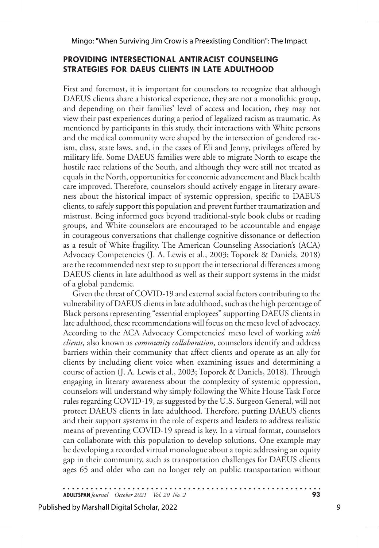## **PROVIDING INTERSECTIONAL ANTIRACIST COUNSELING STRATEGIES FOR DAEUS CLIENTS IN LATE ADULTHOOD**

First and foremost, it is important for counselors to recognize that although DAEUS clients share a historical experience, they are not a monolithic group, and depending on their families' level of access and location, they may not view their past experiences during a period of legalized racism as traumatic. As mentioned by participants in this study, their interactions with White persons and the medical community were shaped by the intersection of gendered racism, class, state laws, and, in the cases of Eli and Jenny, privileges offered by military life. Some DAEUS families were able to migrate North to escape the hostile race relations of the South, and although they were still not treated as equals in the North, opportunities for economic advancement and Black health care improved. Therefore, counselors should actively engage in literary awareness about the historical impact of systemic oppression, specific to DAEUS clients, to safely support this population and prevent further traumatization and mistrust. Being informed goes beyond traditional-style book clubs or reading groups, and White counselors are encouraged to be accountable and engage in courageous conversations that challenge cognitive dissonance or deflection as a result of White fragility. The American Counseling Association's (ACA) Advocacy Competencies (J. A. Lewis et al., 2003; Toporek & Daniels, 2018) are the recommended next step to support the intersectional differences among DAEUS clients in late adulthood as well as their support systems in the midst of a global pandemic.

Given the threat of COVID-19 and external social factors contributing to the vulnerability of DAEUS clients in late adulthood, such as the high percentage of Black persons representing "essential employees" supporting DAEUS clients in late adulthood, these recommendations will focus on the meso level of advocacy. According to the ACA Advocacy Competencies' meso level of working *with clients,* also known as *community collaboration*, counselors identify and address barriers within their community that affect clients and operate as an ally for clients by including client voice when examining issues and determining a course of action (J. A. Lewis et al., 2003; Toporek & Daniels, 2018). Through engaging in literary awareness about the complexity of systemic oppression, counselors will understand why simply following the White House Task Force rules regarding COVID-19, as suggested by the U.S. Surgeon General, will not protect DAEUS clients in late adulthood. Therefore, putting DAEUS clients and their support systems in the role of experts and leaders to address realistic means of preventing COVID-19 spread is key. In a virtual format, counselors can collaborate with this population to develop solutions. One example may be developing a recorded virtual monologue about a topic addressing an equity gap in their community, such as transportation challenges for DAEUS clients ages 65 and older who can no longer rely on public transportation without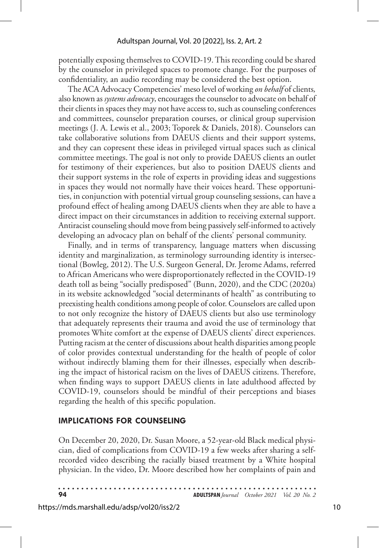potentially exposing themselves to COVID-19. This recording could be shared by the counselor in privileged spaces to promote change. For the purposes of confidentiality, an audio recording may be considered the best option.

The ACA Advocacy Competencies' meso level of working *on behalf* of clients*,* also known as *systems advocacy*, encourages the counselor to advocate on behalf of their clients in spaces they may not have access to, such as counseling conferences and committees, counselor preparation courses, or clinical group supervision meetings (J. A. Lewis et al., 2003; Toporek & Daniels, 2018). Counselors can take collaborative solutions from DAEUS clients and their support systems, and they can copresent these ideas in privileged virtual spaces such as clinical committee meetings. The goal is not only to provide DAEUS clients an outlet for testimony of their experiences, but also to position DAEUS clients and their support systems in the role of experts in providing ideas and suggestions in spaces they would not normally have their voices heard. These opportunities, in conjunction with potential virtual group counseling sessions, can have a profound effect of healing among DAEUS clients when they are able to have a direct impact on their circumstances in addition to receiving external support. Antiracist counseling should move from being passively self-informed to actively developing an advocacy plan on behalf of the clients' personal community.

Finally, and in terms of transparency, language matters when discussing identity and marginalization, as terminology surrounding identity is intersectional (Bowleg, 2012). The U.S. Surgeon General, Dr. Jerome Adams, referred to African Americans who were disproportionately reflected in the COVID-19 death toll as being "socially predisposed" (Bunn, 2020), and the CDC (2020a) in its website acknowledged "social determinants of health" as contributing to preexisting health conditions among people of color. Counselors are called upon to not only recognize the history of DAEUS clients but also use terminology that adequately represents their trauma and avoid the use of terminology that promotes White comfort at the expense of DAEUS clients' direct experiences. Putting racism at the center of discussions about health disparities among people of color provides contextual understanding for the health of people of color without indirectly blaming them for their illnesses, especially when describing the impact of historical racism on the lives of DAEUS citizens. Therefore, when finding ways to support DAEUS clients in late adulthood affected by COVID-19, counselors should be mindful of their perceptions and biases regarding the health of this specific population.

#### **IMPLICATIONS FOR COUNSELING**

On December 20, 2020, Dr. Susan Moore, a 52-year-old Black medical physician, died of complications from COVID-19 a few weeks after sharing a selfrecorded video describing the racially biased treatment by a White hospital physician. In the video, Dr. Moore described how her complaints of pain and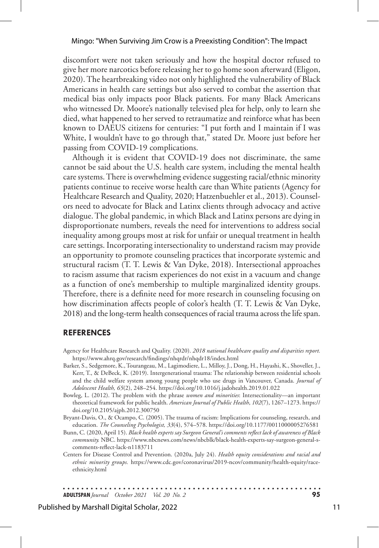#### Mingo: "When Surviving Jim Crow is a Preexisting Condition": The Impact

discomfort were not taken seriously and how the hospital doctor refused to give her more narcotics before releasing her to go home soon afterward (Eligon, 2020). The heartbreaking video not only highlighted the vulnerability of Black Americans in health care settings but also served to combat the assertion that medical bias only impacts poor Black patients. For many Black Americans who witnessed Dr. Moore's nationally televised plea for help, only to learn she died, what happened to her served to retraumatize and reinforce what has been known to DAEUS citizens for centuries: "I put forth and I maintain if I was White, I wouldn't have to go through that," stated Dr. Moore just before her passing from COVID-19 complications.

Although it is evident that COVID-19 does not discriminate, the same cannot be said about the U.S. health care system, including the mental health care systems. There is overwhelming evidence suggesting racial/ethnic minority patients continue to receive worse health care than White patients (Agency for Healthcare Research and Quality, 2020; Hatzenbuehler et al., 2013). Counselors need to advocate for Black and Latinx clients through advocacy and active dialogue. The global pandemic, in which Black and Latinx persons are dying in disproportionate numbers, reveals the need for interventions to address social inequality among groups most at risk for unfair or unequal treatment in health care settings. Incorporating intersectionality to understand racism may provide an opportunity to promote counseling practices that incorporate systemic and structural racism (T. T. Lewis & Van Dyke, 2018). Intersectional approaches to racism assume that racism experiences do not exist in a vacuum and change as a function of one's membership to multiple marginalized identity groups. Therefore, there is a definite need for more research in counseling focusing on how discrimination affects people of color's health (T. T. Lewis & Van Dyke, 2018) and the long-term health consequences of racial trauma across the life span.

#### **REFERENCES**

- Agency for Healthcare Research and Quality. (2020). *2018 national healthcare quality and disparities report.*  https://www.ahrq.gov/research/findings/nhqrdr/nhqdr18/index.html
- Barker, S., Sedgemore, K., Tourangeau, M., Lagimodiere, L., Milloy, J., Dong, H., Hayashi, K., Shoveller, J., Kerr, T., & DeBeck, K. (2019). Intergenerational trauma: The relationship between residential schools and the child welfare system among young people who use drugs in Vancouver, Canada. *Journal of Adolescent Health, 65*(2), 248–254. https://doi.org/10.1016/j.jadohealth.2019.01.022
- Bowleg, L. (2012). The problem with the phrase *women and minorities*: Intersectionality—an important theoretical framework for public health. *American Journal of Public Health*, *102*(7), 1267–1273. https:// doi.org/10.2105/ajph.2012.300750
- Bryant-Davis, O., & Ocampo, C. (2005). The trauma of racism: Implications for counseling, research, and education. *The Counseling Psychologist, 33*(4), 574–578. https://doi.org/10.1177/0011000005276581
- Bunn, C. (2020, April 15). *Black health experts say Surgeon General's comments reflect lack of awareness of Black community.* NBC. https://www.nbcnews.com/news/nbcblk/black-health-experts-say-surgeon-general-scomments-reflect-lack-n1183711
- Centers for Disease Control and Prevention. (2020a, July 24). *Health equity considerations and racial and ethnic minority groups.* https://www.cdc.gov/coronavirus/2019-ncov/community/health-equity/raceethnicity.html

. . . . . . . . . . . . . . . . .

. . . . . . . . . . . . . . . . . . **ADULTSPAN***Journal October 2021 Vol. 20 No. 2* **95**